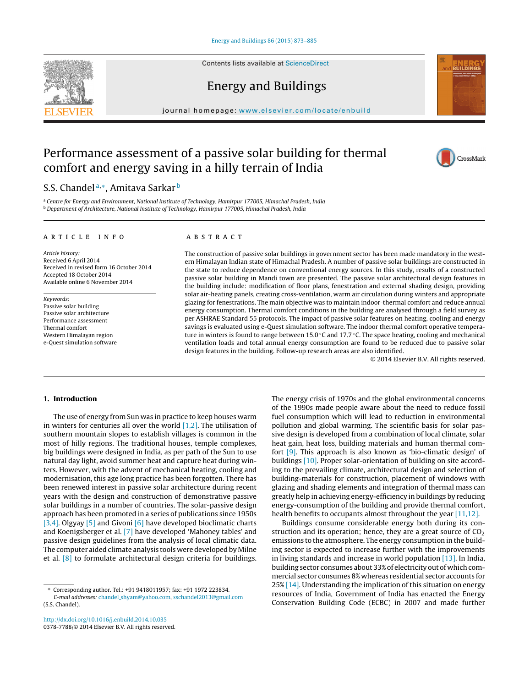Contents lists available at [ScienceDirect](http://www.sciencedirect.com/science/journal/03787788)

## Energy and Buildings

iournal homepage: [www.elsevier.com/locate/enbuild](http://www.elsevier.com/locate/enbuild)

## Performance assessment of a passive solar building for thermal comfort and energy saving in a hilly terrain of India

### S.S. Chandel<sup>a,∗</sup>, Amitava Sarkar<sup>b</sup>

a Centre for Energy and Environment, National Institute of Technology, Hamirpur 177005, Himachal Pradesh, India <sup>b</sup> Department of Architecture, National Institute of Technology, Hamirpur 177005, Himachal Pradesh, India

#### a r t i c l e i n f o

Article history: Received 6 April 2014 Received in revised form 16 October 2014 Accepted 18 October 2014 Available online 6 November 2014

Keywords: Passive solar building Passive solar architecture Performance assessment Thermal comfort Western Himalayan region e-Quest simulation software

#### A B S T R A C T

The construction of passive solar buildings in government sector has been made mandatory in the western Himalayan Indian state of Himachal Pradesh. A number of passive solar buildings are constructed in the state to reduce dependence on conventional energy sources. In this study, results of a constructed passive solar building in Mandi town are presented. The passive solar architectural design features in the building include: modification of floor plans, fenestration and external shading design, providing solar air-heating panels, creating cross-ventilation, warm air circulation during winters and appropriate glazing for fenestrations. The main objective was to maintain indoor-thermal comfort and reduce annual energy consumption. Thermal comfort conditions in the building are analysed through a field survey as per ASHRAE Standard 55 protocols. The impact of passive solar features on heating, cooling and energy savings is evaluated using e-Quest simulation software. The indoor thermal comfort operative temperature in winters is found to range between 15.0  $\degree$ C and 17.7  $\degree$ C. The space heating, cooling and mechanical ventilation loads and total annual energy consumption are found to be reduced due to passive solar design features in the building. Follow-up research areas are also identified.

© 2014 Elsevier B.V. All rights reserved.

#### **1. Introduction**

The use of energy from Sun was in practice to keep houses warm in winters for centuries all over the world  $[1,2]$ . The utilisation of southern mountain slopes to establish villages is common in the most of hilly regions. The traditional houses, temple complexes, big buildings were designed in India, as per path of the Sun to use natural day light, avoid summer heat and capture heat during winters. However, with the advent of mechanical heating, cooling and modernisation, this age long practice has been forgotten. There has been renewed interest in passive solar architecture during recent years with the design and construction of demonstrative passive solar buildings in a number of countries. The solar-passive design approach has been promoted in a series of publications since 1950s [\[3,4\].](#page--1-0) Olgyay [\[5\]](#page--1-0) and Givoni [\[6\]](#page--1-0) have developed bioclimatic charts and Koenigsberger et al. [\[7\]](#page--1-0) have developed 'Mahoney tables' and passive design guidelines from the analysis of local climatic data. The computer aided climate analysis tools were developed by Milne et al. [\[8\]](#page--1-0) to formulate architectural design criteria for buildings.

E-mail addresses: chandel [shyam@yahoo.com](mailto:chandel_shyam@yahoo.com), [sschandel2013@gmail.com](mailto:sschandel2013@gmail.com) (S.S. Chandel).

[http://dx.doi.org/10.1016/j.enbuild.2014.10.035](dx.doi.org/10.1016/j.enbuild.2014.10.035) 0378-7788/© 2014 Elsevier B.V. All rights reserved. The energy crisis of 1970s and the global environmental concerns of the 1990s made people aware about the need to reduce fossil fuel consumption which will lead to reduction in environmental pollution and global warming. The scientific basis for solar passive design is developed from a combination of local climate, solar heat gain, heat loss, building materials and human thermal comfort [\[9\].](#page--1-0) This approach is also known as 'bio-climatic design' of buildings [\[10\].](#page--1-0) Proper solar-orientation of building on site according to the prevailing climate, architectural design and selection of building-materials for construction, placement of windows with glazing and shading elements and integration of thermal mass can greatly help in achieving energy-efficiency in buildings by reducing energy-consumption of the building and provide thermal comfort, health benefits to occupants almost throughout the year [\[11,12\].](#page--1-0)

Buildings consume considerable energy both during its construction and its operation; hence, they are a great source of  $CO<sub>2</sub>$ emissions to the atmosphere. The energy consumption in the building sector is expected to increase further with the improvements in living standards and increase in world population [\[13\].](#page--1-0) In India, building sector consumes about 33%of electricity out of which commercial sector consumes 8% whereas residential sector accounts for 25% [\[14\].](#page--1-0) Understanding the implication of this situation on energy resources of India, Government of India has enacted the Energy Conservation Building Code (ECBC) in 2007 and made further







<sup>∗</sup> Corresponding author. Tel.: +91 9418011957; fax: +91 1972 223834.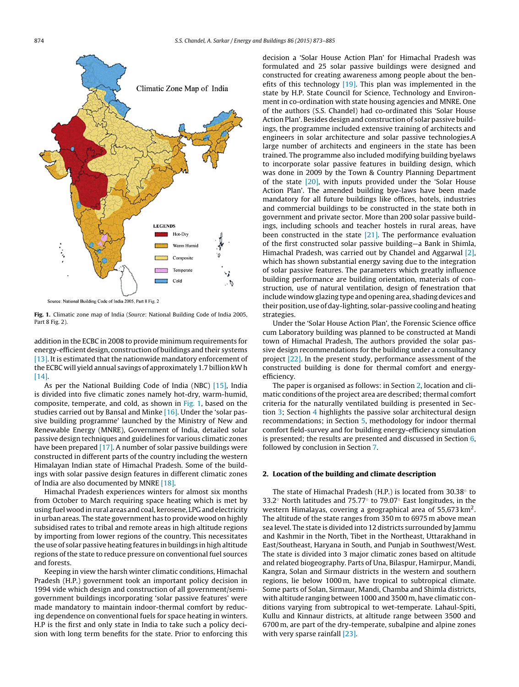

**Fig. 1.** Climatic zone map of India (Source: National Building Code of India 2005, Part 8 Fig. 2).

addition in the ECBC in 2008 to provide minimum requirements for energy-efficient design, construction of buildings and their systems [\[13\].](#page--1-0) It is estimated that the nationwide mandatory enforcement of the ECBC will yield annual savings of approximately 1.7 billion kWh [\[14\].](#page--1-0)

As per the National Building Code of India (NBC) [\[15\],](#page--1-0) India is divided into five climatic zones namely hot-dry, warm-humid, composite, temperate, and cold, as shown in Fig. 1, based on the studies carried out by Bansal and Minke [\[16\].](#page--1-0) Under the 'solar passive building programme' launched by the Ministry of New and Renewable Energy (MNRE), Government of India, detailed solar passive design techniques and guidelines for various climatic zones have been prepared [\[17\].](#page--1-0) A number of solar passive buildings were constructed in different parts of the country including the western Himalayan Indian state of Himachal Pradesh. Some of the buildings with solar passive design features in different climatic zones of India are also documented by MNRE [\[18\].](#page--1-0)

Himachal Pradesh experiences winters for almost six months from October to March requiring space heating which is met by using fuel wood in rural areas and coal, kerosene, LPG and electricity in urban areas. The state government has to provide wood on highly subsidised rates to tribal and remote areas in high altitude regions by importing from lower regions of the country. This necessitates the use of solar passive heating features in buildings in high altitude regions of the state to reduce pressure on conventional fuel sources and forests.

Keeping in view the harsh winter climatic conditions, Himachal Pradesh (H.P.) government took an important policy decision in 1994 vide which design and construction of all government/semigovernment buildings incorporating 'solar passive features' were made mandatory to maintain indoor-thermal comfort by reducing dependence on conventional fuels for space heating in winters. H.P is the first and only state in India to take such a policy decision with long term benefits for the state. Prior to enforcing this decision a 'Solar House Action Plan' for Himachal Pradesh was formulated and 25 solar passive buildings were designed and constructed for creating awareness among people about the benefits of this technology  $[19]$ . This plan was implemented in the state by H.P. State Council for Science, Technology and Environment in co-ordination with state housing agencies and MNRE. One of the authors (S.S. Chandel) had co-ordinated this 'Solar House Action Plan'. Besides design and construction of solar passive buildings, the programme included extensive training of architects and engineers in solar architecture and solar passive technologies.A large number of architects and engineers in the state has been trained. The programme also included modifying building byelaws to incorporate solar passive features in building design, which was done in 2009 by the Town & Country Planning Department of the state [\[20\],](#page--1-0) with inputs provided under the 'Solar House Action Plan'. The amended building bye-laws have been made mandatory for all future buildings like offices, hotels, industries and commercial buildings to be constructed in the state both in government and private sector. More than 200 solar passive buildings, including schools and teacher hostels in rural areas, have been constructed in the state  $[21]$ . The performance evaluation of the first constructed solar passive building—a Bank in Shimla, Himachal Pradesh, was carried out by Chandel and Aggarwal [\[2\],](#page--1-0) which has shown substantial energy saving due to the integration of solar passive features. The parameters which greatly influence building performance are building orientation, materials of construction, use of natural ventilation, design of fenestration that include window glazing type and opening area, shading devices and their position, use of day-lighting, solar-passive cooling and heating strategies.

Under the 'Solar House Action Plan', the Forensic Science office cum Laboratory building was planned to be constructed at Mandi town of Himachal Pradesh, The authors provided the solar passive design recommendations for the building under a consultancy project [\[22\].](#page--1-0) In the present study, performance assessment of the constructed building is done for thermal comfort and energyefficiency.

The paper is organised as follows: in Section 2, location and climatic conditions of the project area are described; thermal comfort criteria for the naturally ventilated building is presented in Section [3;](#page--1-0) Section [4](#page--1-0) highlights the passive solar architectural design recommendations; in Section [5,](#page--1-0) methodology for indoor thermal comfort field-survey and for building energy-efficiency simulation is presented; the results are presented and discussed in Section [6,](#page--1-0) followed by conclusion in Section [7.](#page--1-0)

#### **2. Location of the building and climate description**

The state of Himachal Pradesh (H.P.) is located from 30.38◦ to 33.2◦ North latitudes and 75.77◦ to 79.07◦ East longitudes, in the western Himalayas, covering a geographical area of 55,673 km2. The altitude of the state ranges from 350 m to 6975 m above mean sea level. The state is divided into 12 districts surrounded by Jammu and Kashmir in the North, Tibet in the Northeast, Uttarakhand in East/Southeast, Haryana in South, and Punjab in Southwest/West. The state is divided into 3 major climatic zones based on altitude and related biogeography. Parts of Una, Bilaspur, Hamirpur, Mandi, Kangra, Solan and Sirmaur districts in the western and southern regions, lie below 1000 m, have tropical to subtropical climate. Some parts of Solan, Sirmaur, Mandi, Chamba and Shimla districts, with altitude ranging between 1000 and 3500 m, have climatic conditions varying from subtropical to wet-temperate. Lahaul-Spiti, Kullu and Kinnaur districts, at altitude range between 3500 and 6700 m, are part of the dry-temperate, subalpine and alpine zones with very sparse rainfall [\[23\].](#page--1-0)